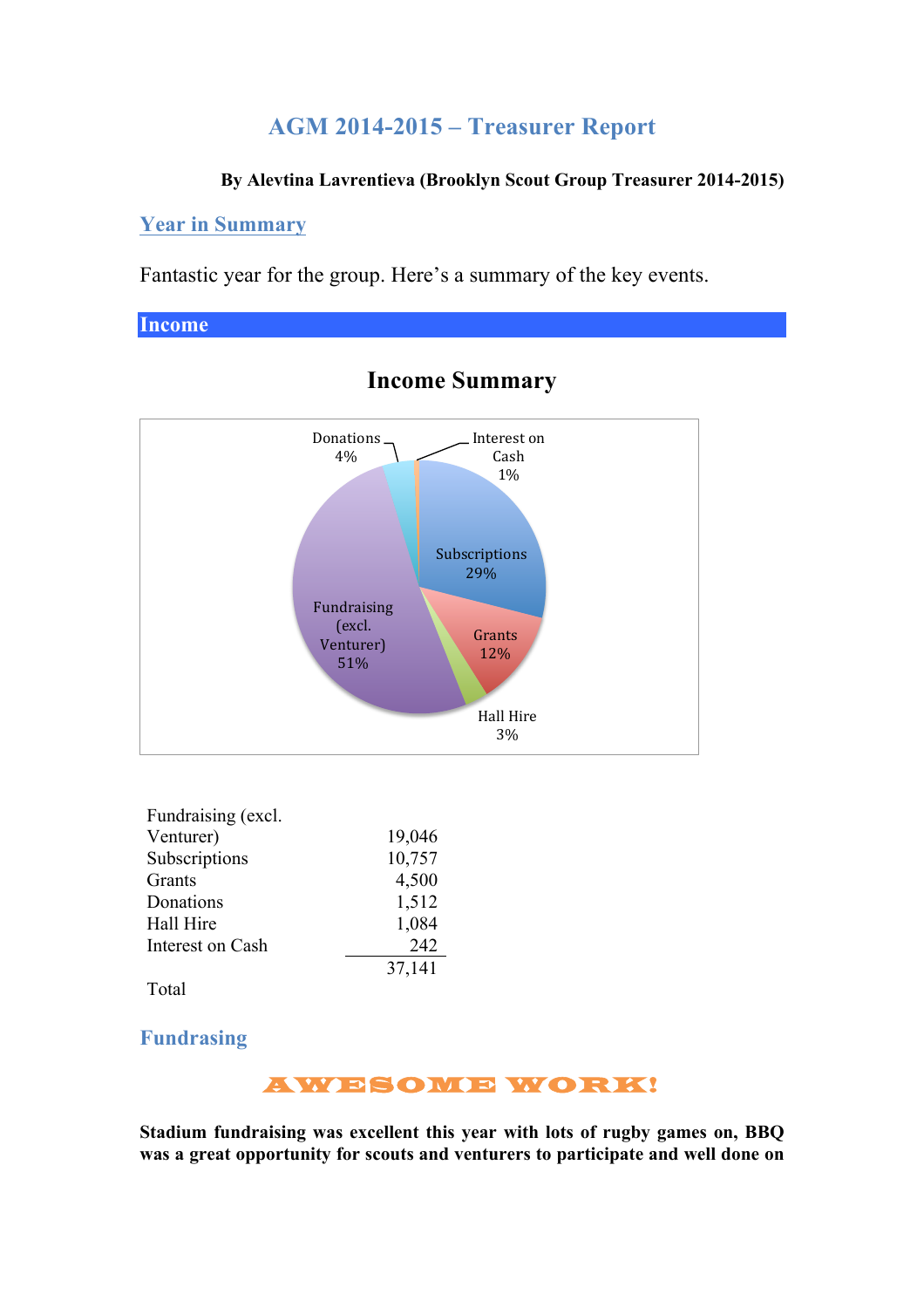## **AGM 2014-2015 – Treasurer Report**

#### **By Alevtina Lavrentieva (Brooklyn Scout Group Treasurer 2014-2015)**

#### **Year in Summary**

Fantastic year for the group. Here's a summary of the key events.

**Income**



### **Income Summary**

| Fundraising (excl. |        |
|--------------------|--------|
| Venturer)          | 19,046 |
| Subscriptions      | 10,757 |
| Grants             | 4,500  |
| Donations          | 1,512  |
| Hall Hire          | 1,084  |
| Interest on Cash   | 242    |
|                    | 37,141 |

Total

**Fundrasing**

AWESOME WORK!

**Stadium fundraising was excellent this year with lots of rugby games on, BBQ was a great opportunity for scouts and venturers to participate and well done on**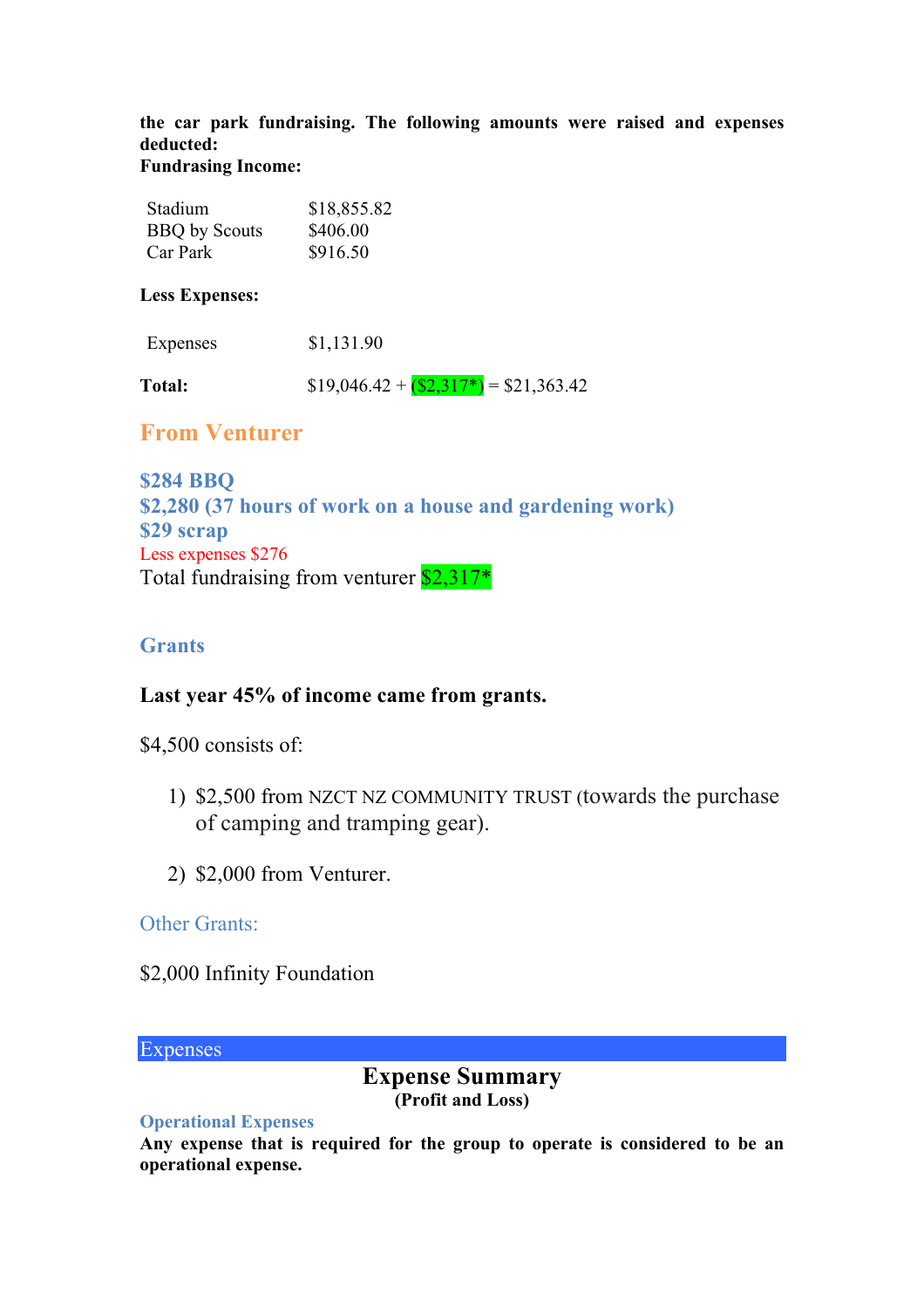**the car park fundraising. The following amounts were raised and expenses deducted: Fundrasing Income:**

#### Stadium \$18,855.82 BBO by Scouts \$406.00 Car Park \$916.50

**Less Expenses:**

| Expenses      | \$1,131.90                               |
|---------------|------------------------------------------|
| <b>Total:</b> | $$19,046.42 + (\$2,317^*) = \$21,363.42$ |

## **From Venturer**

**\$284 BBQ \$2,280 (37 hours of work on a house and gardening work) \$29 scrap** Less expenses \$276 Total fundraising from venturer  $$2,317*$ 

### **Grants**

### **Last year 45% of income came from grants.**

\$4,500 consists of:

- 1) \$2,500 from NZCT NZ COMMUNITY TRUST (towards the purchase of camping and tramping gear).
- 2) \$2,000 from Venturer.

### Other Grants:

### \$2,000 Infinity Foundation

#### **Expenses**

#### **Expense Summary (Profit and Loss)**

#### **Operational Expenses**

**Any expense that is required for the group to operate is considered to be an operational expense.**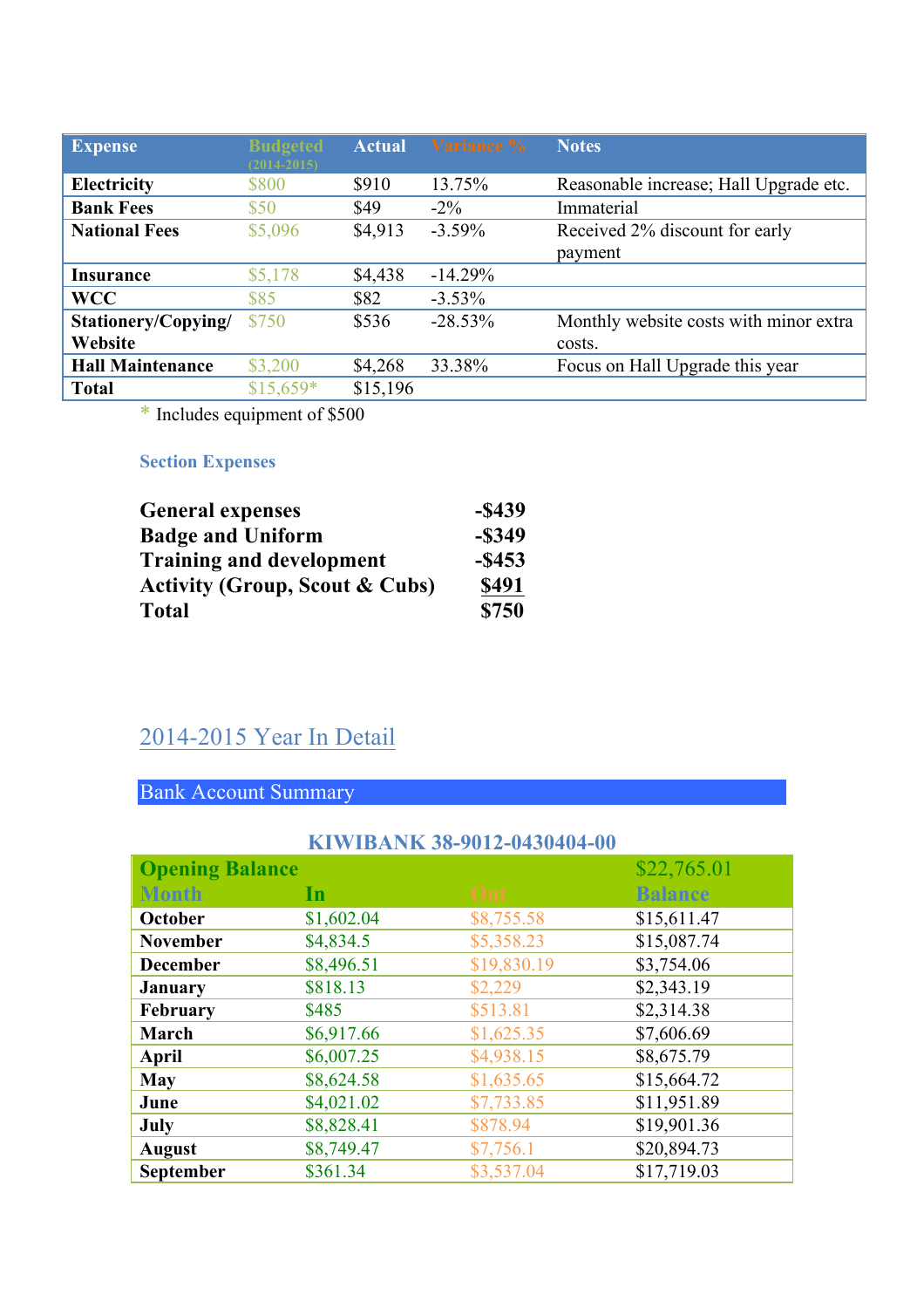| <b>Expense</b>          | <b>Budgeted</b><br>$(2014 - 2015)$ | <b>Actual</b> | Variance % | <b>Notes</b>                           |
|-------------------------|------------------------------------|---------------|------------|----------------------------------------|
| <b>Electricity</b>      | \$800                              | \$910         | 13.75%     | Reasonable increase; Hall Upgrade etc. |
| <b>Bank Fees</b>        | \$50                               | \$49          | $-2\%$     | Immaterial                             |
| <b>National Fees</b>    | \$5,096                            | \$4,913       | $-3.59\%$  | Received 2% discount for early         |
|                         |                                    |               |            | payment                                |
| Insurance               | \$5,178                            | \$4,438       | $-14.29%$  |                                        |
| <b>WCC</b>              | \$85                               | \$82          | $-3.53\%$  |                                        |
| Stationery/Copying/     | \$750                              | \$536         | $-28.53\%$ | Monthly website costs with minor extra |
| Website                 |                                    |               |            | costs.                                 |
| <b>Hall Maintenance</b> | \$3,200                            | \$4,268       | 33.38%     | Focus on Hall Upgrade this year        |
| <b>Total</b>            | $$15,659*$                         | \$15,196      |            |                                        |

\* Includes equipment of \$500

### **Section Expenses**

| <b>General expenses</b>                   | $-$ \$439 |
|-------------------------------------------|-----------|
| <b>Badge and Uniform</b>                  | $-$ \$349 |
| <b>Training and development</b>           | $-$ \$453 |
| <b>Activity (Group, Scout &amp; Cubs)</b> | \$491     |
| Total                                     | \$750     |

# 2014-2015 Year In Detail

## Bank Account Summary

|                        |            | KIWIBANK 38-9012-0430404-00 |                |
|------------------------|------------|-----------------------------|----------------|
| <b>Opening Balance</b> |            |                             | \$22,765.01    |
| <b>Month</b>           | In         | Out                         | <b>Balance</b> |
| October                | \$1,602.04 | \$8,755.58                  | \$15,611.47    |
| <b>November</b>        | \$4,834.5  | \$5,358.23                  | \$15,087.74    |
| <b>December</b>        | \$8,496.51 | \$19,830.19                 | \$3,754.06     |
| <b>January</b>         | \$818.13   | \$2,229                     | \$2,343.19     |
| February               | \$485      | \$513.81                    | \$2,314.38     |
| March                  | \$6,917.66 | \$1,625.35                  | \$7,606.69     |
| April                  | \$6,007.25 | \$4,938.15                  | \$8,675.79     |
| <b>May</b>             | \$8,624.58 | \$1,635.65                  | \$15,664.72    |
| June                   | \$4,021.02 | \$7,733.85                  | \$11,951.89    |
| July                   | \$8,828.41 | \$878.94                    | \$19,901.36    |
| <b>August</b>          | \$8,749.47 | \$7,756.1                   | \$20,894.73    |
| September              | \$361.34   | \$3,537.04                  | \$17,719.03    |

### **KIWITAN 1375740-0014-01404040404**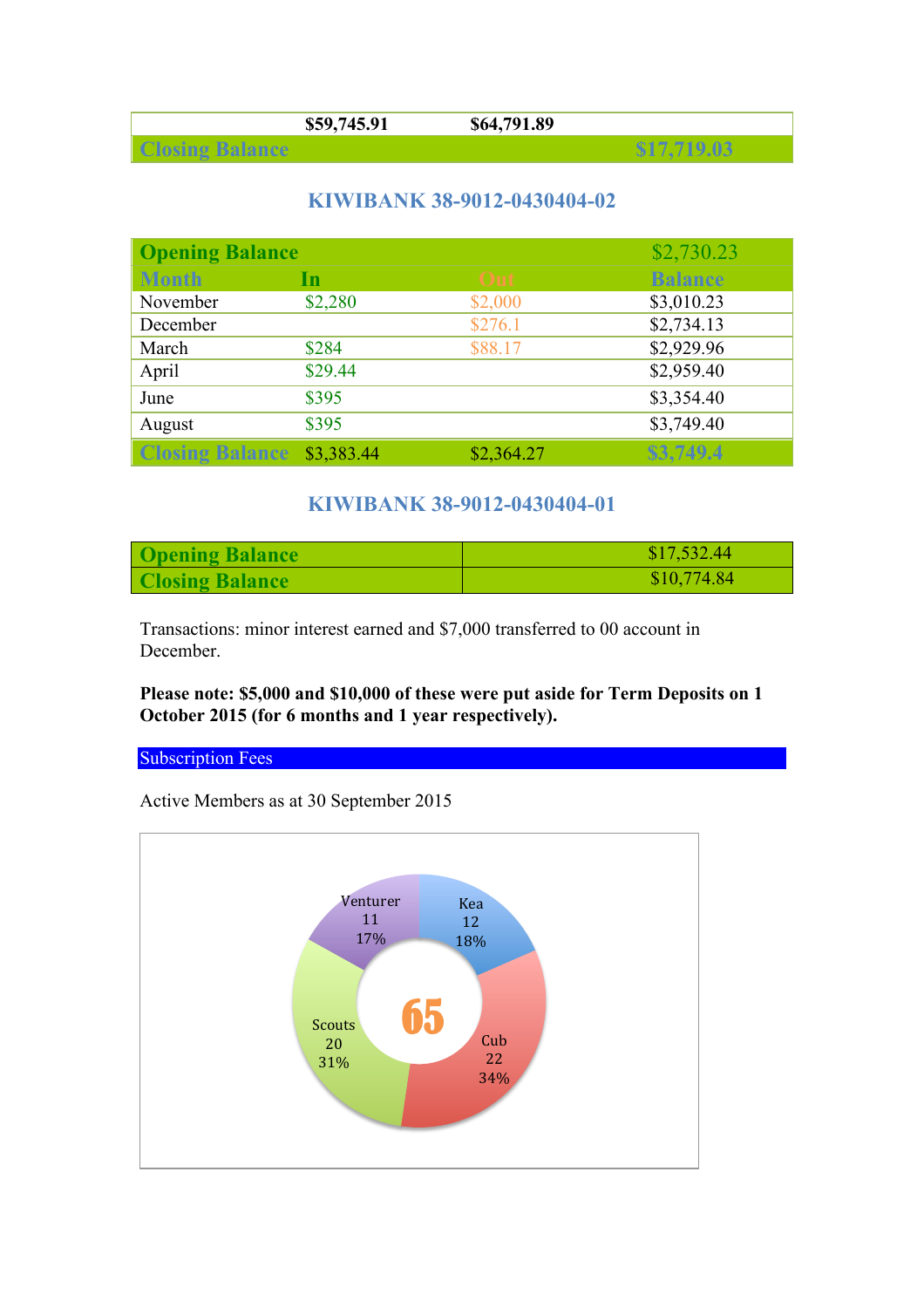| 745 Q1<br>,,, | 1.89<br>æО |  |
|---------------|------------|--|
|               |            |  |

### **KIWIBANK 38-9012-0430404-02**

| <b>Opening Balance</b>            |         |            | \$2,730.23     |
|-----------------------------------|---------|------------|----------------|
| <b>Month</b>                      | In      | Out        | <b>Balance</b> |
| November                          | \$2,280 | \$2,000    | \$3,010.23     |
| December                          |         | \$276.1    | \$2,734.13     |
| March                             | \$284   | \$88.17    | \$2,929.96     |
| April                             | \$29.44 |            | \$2,959.40     |
| June                              | \$395   |            | \$3,354.40     |
| August                            | \$395   |            | \$3,749.40     |
| <b>Closing Balance \$3,383.44</b> |         | \$2,364.27 | \$3,749.4      |

### **KIWIBANK 38-9012-0430404-01**

| <b>Opening Balance</b> | \$17,532.44 |
|------------------------|-------------|
| <b>Closing Balance</b> | \$10,774.84 |

Transactions: minor interest earned and \$7,000 transferred to 00 account in December.

#### **Please note: \$5,000 and \$10,000 of these were put aside for Term Deposits on 1 October 2015 (for 6 months and 1 year respectively).**

#### **Subscription Fees**

Active Members as at 30 September 2015

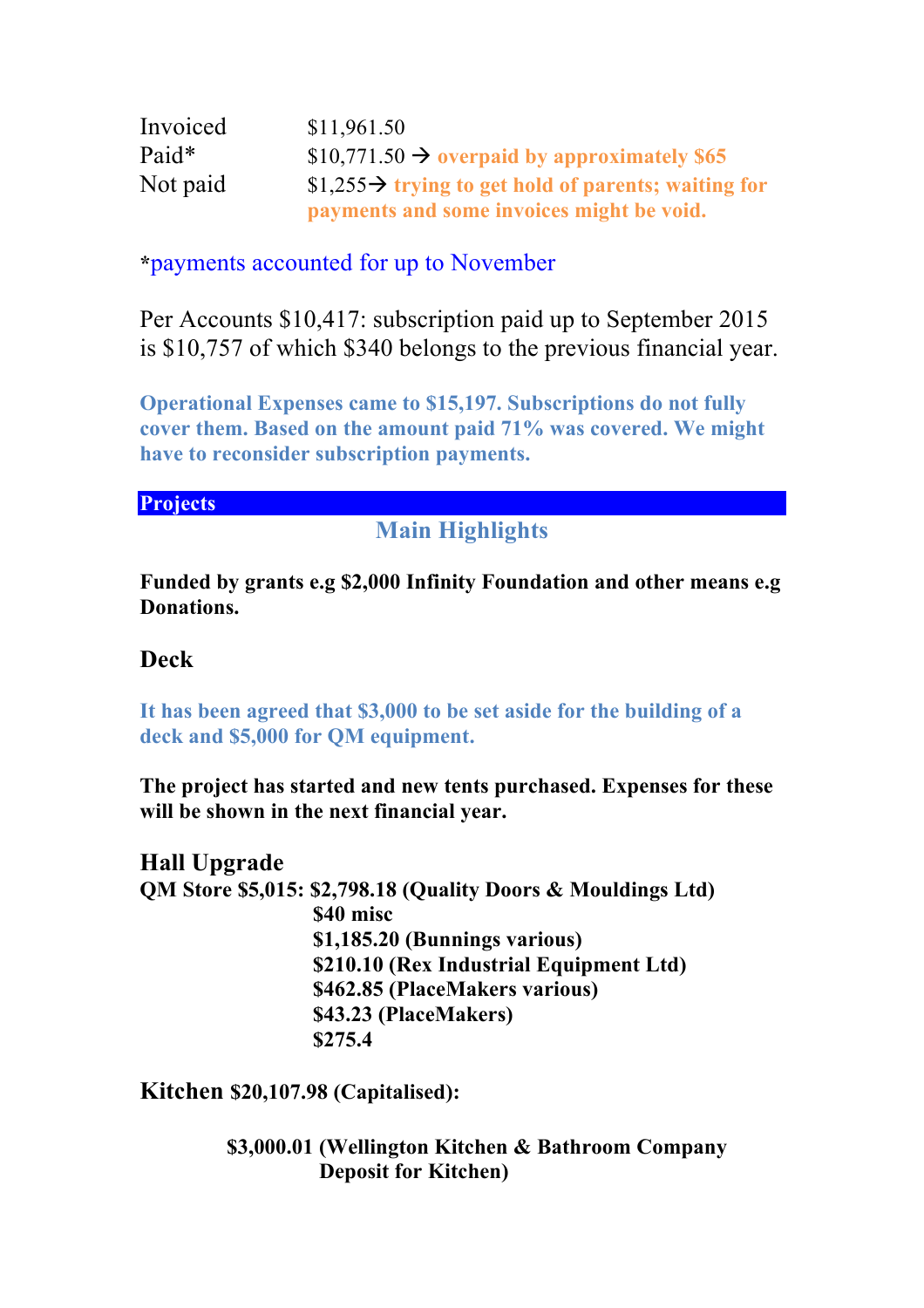| Invoiced | \$11,961.50                                                      |
|----------|------------------------------------------------------------------|
| Paid*    | $$10,771.50 \rightarrow$ overpaid by approximately \$65          |
| Not paid | \$1,255 $\rightarrow$ trying to get hold of parents; waiting for |
|          | payments and some invoices might be void.                        |

**\***payments accounted for up to November

Per Accounts \$10,417: subscription paid up to September 2015 is \$10,757 of which \$340 belongs to the previous financial year.

**Operational Expenses came to \$15,197. Subscriptions do not fully cover them. Based on the amount paid 71% was covered. We might have to reconsider subscription payments.** 

### **Projects**

## **Main Highlights**

**Funded by grants e.g \$2,000 Infinity Foundation and other means e.g Donations.**

## **Deck**

**It has been agreed that \$3,000 to be set aside for the building of a deck and \$5,000 for QM equipment.**

**The project has started and new tents purchased. Expenses for these will be shown in the next financial year.** 

**Hall Upgrade QM Store \$5,015: \$2,798.18 (Quality Doors & Mouldings Ltd) \$40 misc \$1,185.20 (Bunnings various) \$210.10 (Rex Industrial Equipment Ltd) \$462.85 (PlaceMakers various) \$43.23 (PlaceMakers) \$275.4**

**Kitchen \$20,107.98 (Capitalised):**

 **\$3,000.01 (Wellington Kitchen & Bathroom Company Deposit for Kitchen)**